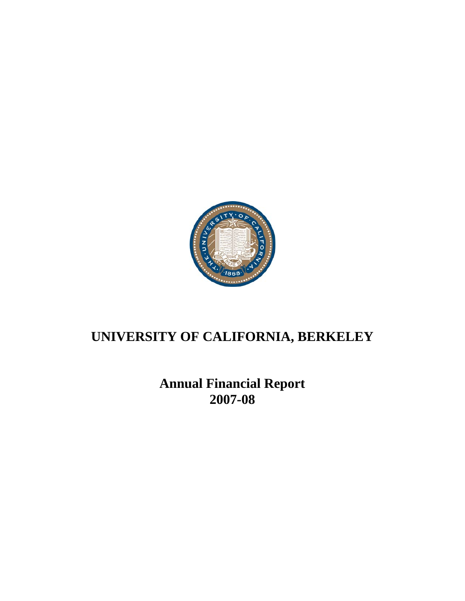

# **Annual Financial Report 2007-08**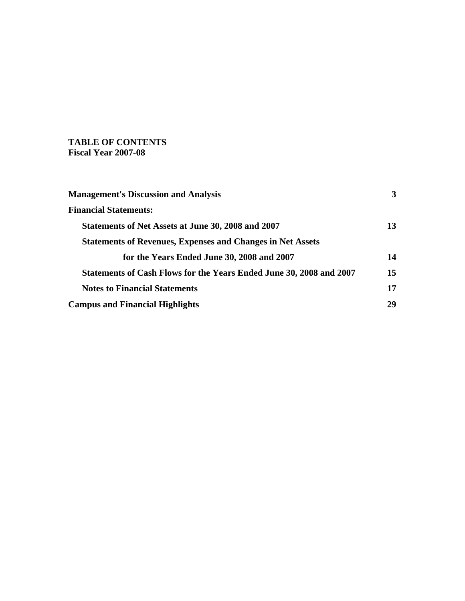## **TABLE OF CONTENTS Fiscal Year 2007-08**

| <b>Management's Discussion and Analysis</b>                                | 3  |
|----------------------------------------------------------------------------|----|
| <b>Financial Statements:</b>                                               |    |
| Statements of Net Assets at June 30, 2008 and 2007                         | 13 |
| <b>Statements of Revenues, Expenses and Changes in Net Assets</b>          |    |
| for the Years Ended June 30, 2008 and 2007                                 | 14 |
| <b>Statements of Cash Flows for the Years Ended June 30, 2008 and 2007</b> | 15 |
| <b>Notes to Financial Statements</b>                                       | 17 |
| <b>Campus and Financial Highlights</b>                                     | 29 |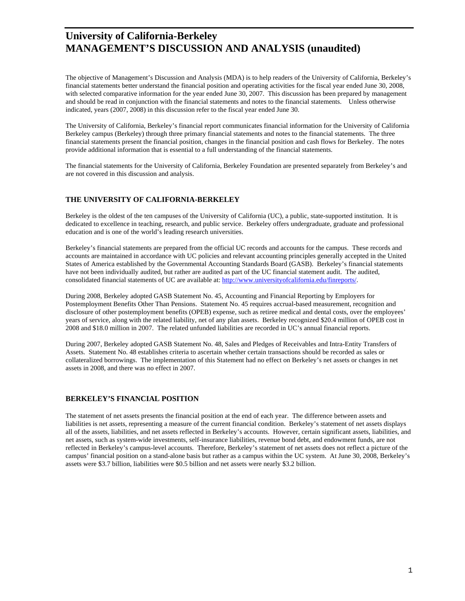The objective of Management's Discussion and Analysis (MDA) is to help readers of the University of California, Berkeley's financial statements better understand the financial position and operating activities for the fiscal year ended June 30, 2008, with selected comparative information for the year ended June 30, 2007. This discussion has been prepared by management and should be read in conjunction with the financial statements and notes to the financial statements. Unless otherwise indicated, years (2007, 2008) in this discussion refer to the fiscal year ended June 30.

The University of California, Berkeley's financial report communicates financial information for the University of California Berkeley campus (Berkeley) through three primary financial statements and notes to the financial statements. The three financial statements present the financial position, changes in the financial position and cash flows for Berkeley. The notes provide additional information that is essential to a full understanding of the financial statements.

The financial statements for the University of California, Berkeley Foundation are presented separately from Berkeley's and are not covered in this discussion and analysis.

#### **THE UNIVERSITY OF CALIFORNIA-BERKELEY**

Berkeley is the oldest of the ten campuses of the University of California (UC), a public, state-supported institution. It is dedicated to excellence in teaching, research, and public service. Berkeley offers undergraduate, graduate and professional education and is one of the world's leading research universities.

Berkeley's financial statements are prepared from the official UC records and accounts for the campus. These records and accounts are maintained in accordance with UC policies and relevant accounting principles generally accepted in the United States of America established by the Governmental Accounting Standards Board (GASB). Berkeley's financial statements have not been individually audited, but rather are audited as part of the UC financial statement audit. The audited, consolidated financial statements of UC are available at: http://www.universityofcalifornia.edu/finreports/.

During 2008, Berkeley adopted GASB Statement No. 45, Accounting and Financial Reporting by Employers for Postemployment Benefits Other Than Pensions. Statement No. 45 requires accrual-based measurement, recognition and disclosure of other postemployment benefits (OPEB) expense, such as retiree medical and dental costs, over the employees' years of service, along with the related liability, net of any plan assets. Berkeley recognized \$20.4 million of OPEB cost in 2008 and \$18.0 million in 2007. The related unfunded liabilities are recorded in UC's annual financial reports.

During 2007, Berkeley adopted GASB Statement No. 48, Sales and Pledges of Receivables and Intra-Entity Transfers of Assets. Statement No. 48 establishes criteria to ascertain whether certain transactions should be recorded as sales or collateralized borrowings. The implementation of this Statement had no effect on Berkeley's net assets or changes in net assets in 2008, and there was no effect in 2007.

#### **BERKELEY'S FINANCIAL POSITION**

The statement of net assets presents the financial position at the end of each year. The difference between assets and liabilities is net assets, representing a measure of the current financial condition. Berkeley's statement of net assets displays all of the assets, liabilities, and net assets reflected in Berkeley's accounts. However, certain significant assets, liabilities, and net assets, such as system-wide investments, self-insurance liabilities, revenue bond debt, and endowment funds, are not reflected in Berkeley's campus-level accounts. Therefore, Berkeley's statement of net assets does not reflect a picture of the campus' financial position on a stand-alone basis but rather as a campus within the UC system. At June 30, 2008, Berkeley's assets were \$3.7 billion, liabilities were \$0.5 billion and net assets were nearly \$3.2 billion.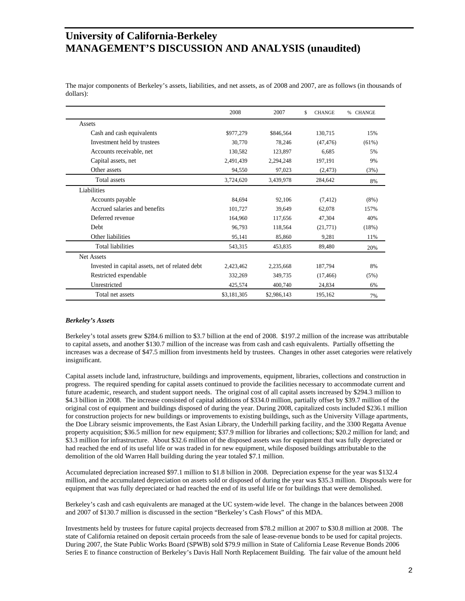The major components of Berkeley's assets, liabilities, and net assets, as of 2008 and 2007, are as follows (in thousands of dollars):

|                                                 | 2008        | 2007        | \$<br><b>CHANGE</b> | <b>CHANGE</b><br>$\%$ |
|-------------------------------------------------|-------------|-------------|---------------------|-----------------------|
| Assets                                          |             |             |                     |                       |
| Cash and cash equivalents                       | \$977,279   | \$846,564   | 130,715             | 15%                   |
| Investment held by trustees                     | 30,770      | 78,246      | (47, 476)           | $(61\%)$              |
| Accounts receivable, net                        | 130,582     | 123,897     | 6.685               | 5%                    |
| Capital assets, net                             | 2,491,439   | 2,294,248   | 197,191             | 9%                    |
| Other assets                                    | 94,550      | 97,023      | (2, 473)            | (3%)                  |
| Total assets                                    | 3,724,620   | 3,439,978   | 284,642             | 8%                    |
| Liabilities                                     |             |             |                     |                       |
| Accounts payable                                | 84,694      | 92,106      | (7, 412)            | $(8\%)$               |
| Accrued salaries and benefits                   | 101,727     | 39.649      | 62,078              | 157%                  |
| Deferred revenue                                | 164,960     | 117,656     | 47,304              | 40%                   |
| Debt                                            | 96,793      | 118,564     | (21,771)            | (18%)                 |
| Other liabilities                               | 95,141      | 85,860      | 9,281               | 11%                   |
| <b>Total liabilities</b>                        | 543,315     | 453,835     | 89,480              | 20%                   |
| Net Assets                                      |             |             |                     |                       |
| Invested in capital assets, net of related debt | 2,423,462   | 2,235,668   | 187,794             | 8%                    |
| Restricted expendable                           | 332,269     | 349,735     | (17, 466)           | (5%)                  |
| Unrestricted                                    | 425,574     | 400,740     | 24,834              | 6%                    |
| Total net assets                                | \$3,181,305 | \$2,986,143 | 195,162             | 7%                    |

#### *Berkeley's Assets*

Berkeley's total assets grew \$284.6 million to \$3.7 billion at the end of 2008. \$197.2 million of the increase was attributable to capital assets, and another \$130.7 million of the increase was from cash and cash equivalents. Partially offsetting the increases was a decrease of \$47.5 million from investments held by trustees. Changes in other asset categories were relatively insignificant.

Capital assets include land, infrastructure, buildings and improvements, equipment, libraries, collections and construction in progress. The required spending for capital assets continued to provide the facilities necessary to accommodate current and future academic, research, and student support needs. The original cost of all capital assets increased by \$294.3 million to \$4.3 billion in 2008. The increase consisted of capital additions of \$334.0 million, partially offset by \$39.7 million of the original cost of equipment and buildings disposed of during the year. During 2008, capitalized costs included \$236.1 million for construction projects for new buildings or improvements to existing buildings, such as the University Village apartments, the Doe Library seismic improvements, the East Asian Library, the Underhill parking facility, and the 3300 Regatta Avenue property acquisition; \$36.5 million for new equipment; \$37.9 million for libraries and collections; \$20.2 million for land; and \$3.3 million for infrastructure. About \$32.6 million of the disposed assets was for equipment that was fully depreciated or had reached the end of its useful life or was traded in for new equipment, while disposed buildings attributable to the demolition of the old Warren Hall building during the year totaled \$7.1 million.

Accumulated depreciation increased \$97.1 million to \$1.8 billion in 2008. Depreciation expense for the year was \$132.4 million, and the accumulated depreciation on assets sold or disposed of during the year was \$35.3 million. Disposals were for equipment that was fully depreciated or had reached the end of its useful life or for buildings that were demolished.

Berkeley's cash and cash equivalents are managed at the UC system-wide level. The change in the balances between 2008 and 2007 of \$130.7 million is discussed in the section "Berkeley's Cash Flows" of this MDA.

Investments held by trustees for future capital projects decreased from \$78.2 million at 2007 to \$30.8 million at 2008. The state of California retained on deposit certain proceeds from the sale of lease-revenue bonds to be used for capital projects. During 2007, the State Public Works Board (SPWB) sold \$79.9 million in State of California Lease Revenue Bonds 2006 Series E to finance construction of Berkeley's Davis Hall North Replacement Building. The fair value of the amount held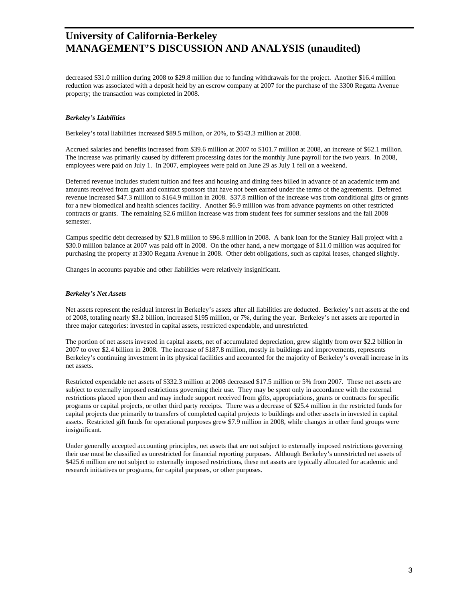decreased \$31.0 million during 2008 to \$29.8 million due to funding withdrawals for the project. Another \$16.4 million reduction was associated with a deposit held by an escrow company at 2007 for the purchase of the 3300 Regatta Avenue property; the transaction was completed in 2008.

#### *Berkeley's Liabilities*

Berkeley's total liabilities increased \$89.5 million, or 20%, to \$543.3 million at 2008.

Accrued salaries and benefits increased from \$39.6 million at 2007 to \$101.7 million at 2008, an increase of \$62.1 million. The increase was primarily caused by different processing dates for the monthly June payroll for the two years. In 2008, employees were paid on July 1. In 2007, employees were paid on June 29 as July 1 fell on a weekend.

Deferred revenue includes student tuition and fees and housing and dining fees billed in advance of an academic term and amounts received from grant and contract sponsors that have not been earned under the terms of the agreements. Deferred revenue increased \$47.3 million to \$164.9 million in 2008. \$37.8 million of the increase was from conditional gifts or grants for a new biomedical and health sciences facility. Another \$6.9 million was from advance payments on other restricted contracts or grants. The remaining \$2.6 million increase was from student fees for summer sessions and the fall 2008 semester.

Campus specific debt decreased by \$21.8 million to \$96.8 million in 2008. A bank loan for the Stanley Hall project with a \$30.0 million balance at 2007 was paid off in 2008. On the other hand, a new mortgage of \$11.0 million was acquired for purchasing the property at 3300 Regatta Avenue in 2008. Other debt obligations, such as capital leases, changed slightly.

Changes in accounts payable and other liabilities were relatively insignificant.

#### *Berkeley's Net Assets*

Net assets represent the residual interest in Berkeley's assets after all liabilities are deducted. Berkeley's net assets at the end of 2008, totaling nearly \$3.2 billion, increased \$195 million, or 7%, during the year. Berkeley's net assets are reported in three major categories: invested in capital assets, restricted expendable, and unrestricted.

The portion of net assets invested in capital assets, net of accumulated depreciation, grew slightly from over \$2.2 billion in 2007 to over \$2.4 billion in 2008. The increase of \$187.8 million, mostly in buildings and improvements, represents Berkeley's continuing investment in its physical facilities and accounted for the majority of Berkeley's overall increase in its net assets.

Restricted expendable net assets of \$332.3 million at 2008 decreased \$17.5 million or 5% from 2007. These net assets are subject to externally imposed restrictions governing their use. They may be spent only in accordance with the external restrictions placed upon them and may include support received from gifts, appropriations, grants or contracts for specific programs or capital projects, or other third party receipts. There was a decrease of \$25.4 million in the restricted funds for capital projects due primarily to transfers of completed capital projects to buildings and other assets in invested in capital assets. Restricted gift funds for operational purposes grew \$7.9 million in 2008, while changes in other fund groups were insignificant.

Under generally accepted accounting principles, net assets that are not subject to externally imposed restrictions governing their use must be classified as unrestricted for financial reporting purposes. Although Berkeley's unrestricted net assets of \$425.6 million are not subject to externally imposed restrictions, these net assets are typically allocated for academic and research initiatives or programs, for capital purposes, or other purposes.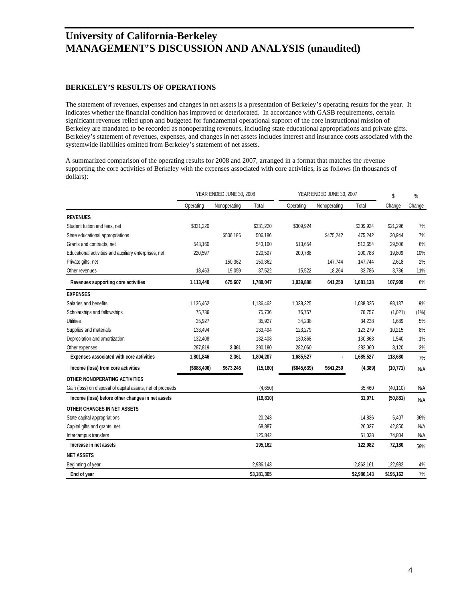### **BERKELEY'S RESULTS OF OPERATIONS**

The statement of revenues, expenses and changes in net assets is a presentation of Berkeley's operating results for the year. It indicates whether the financial condition has improved or deteriorated. In accordance with GASB requirements, certain significant revenues relied upon and budgeted for fundamental operational support of the core instructional mission of Berkeley are mandated to be recorded as nonoperating revenues, including state educational appropriations and private gifts. Berkeley's statement of revenues, expenses, and changes in net assets includes interest and insurance costs associated with the systemwide liabilities omitted from Berkeley's statement of net assets.

A summarized comparison of the operating results for 2008 and 2007, arranged in a format that matches the revenue supporting the core activities of Berkeley with the expenses associated with core activities, is as follows (in thousands of dollars):

|                                                            | YEAR ENDED JUNE 30, 2008 |              | YEAR ENDED JUNE 30, 2007 |               |              | \$          | %         |        |
|------------------------------------------------------------|--------------------------|--------------|--------------------------|---------------|--------------|-------------|-----------|--------|
|                                                            | Operating                | Nonoperating | Total                    | Operating     | Nonoperating | Total       | Change    | Change |
| <b>REVENUES</b>                                            |                          |              |                          |               |              |             |           |        |
| Student tuition and fees, net                              | \$331,220                |              | \$331,220                | \$309,924     |              | \$309,924   | \$21,296  | 7%     |
| State educational appropriations                           |                          | \$506,186    | 506,186                  |               | \$475,242    | 475,242     | 30,944    | 7%     |
| Grants and contracts, net                                  | 543,160                  |              | 543,160                  | 513,654       |              | 513,654     | 29,506    | 6%     |
| Educational activities and auxiliary enterprises, net      | 220,597                  |              | 220,597                  | 200,788       |              | 200,788     | 19,809    | 10%    |
| Private gifts, net                                         |                          | 150,362      | 150,362                  |               | 147,744      | 147,744     | 2,618     | 2%     |
| Other revenues                                             | 18,463                   | 19,059       | 37,522                   | 15,522        | 18,264       | 33,786      | 3,736     | 11%    |
| Revenues supporting core activities                        | 1,113,440                | 675,607      | 1,789,047                | 1,039,888     | 641,250      | 1,681,138   | 107,909   | 6%     |
| <b>EXPENSES</b>                                            |                          |              |                          |               |              |             |           |        |
| Salaries and benefits                                      | 1,136,462                |              | 1,136,462                | 1,038,325     |              | 1,038,325   | 98,137    | 9%     |
| Scholarships and fellowships                               | 75,736                   |              | 75,736                   | 76,757        |              | 76,757      | (1,021)   | (1%)   |
| <b>Utilities</b>                                           | 35,927                   |              | 35,927                   | 34,238        |              | 34,238      | 1,689     | 5%     |
| Supplies and materials                                     | 133,494                  |              | 133,494                  | 123,279       |              | 123,279     | 10,215    | 8%     |
| Depreciation and amortization                              | 132,408                  |              | 132,408                  | 130,868       |              | 130,868     | 1,540     | 1%     |
| Other expenses                                             | 287,819                  | 2,361        | 290,180                  | 282,060       |              | 282,060     | 8,120     | 3%     |
| Expenses associated with core activities                   | 1,801,846                | 2,361        | 1,804,207                | 1,685,527     | ÷            | 1,685,527   | 118,680   | 7%     |
| Income (loss) from core activities                         | ( \$688, 406)            | \$673,246    | (15, 160)                | ( \$645, 639) | \$641,250    | (4, 389)    | (10, 771) | N/A    |
| <b>OTHER NONOPERATING ACTIVITIES</b>                       |                          |              |                          |               |              |             |           |        |
| Gain (loss) on disposal of capital assets, net of proceeds |                          |              | (4,650)                  |               |              | 35,460      | (40, 110) | N/A    |
| Income (loss) before other changes in net assets           |                          |              | (19, 810)                |               |              | 31,071      | (50, 881) | N/A    |
| OTHER CHANGES IN NET ASSETS                                |                          |              |                          |               |              |             |           |        |
| State capital appropriations                               |                          |              | 20,243                   |               |              | 14,836      | 5,407     | 36%    |
| Capital gifts and grants, net                              |                          |              | 68,887                   |               |              | 26,037      | 42,850    | N/A    |
| Intercampus transfers                                      |                          |              | 125,842                  |               |              | 51,038      | 74,804    | N/A    |
| Increase in net assets                                     |                          |              | 195,162                  |               |              | 122,982     | 72,180    | 59%    |
| <b>NET ASSETS</b>                                          |                          |              |                          |               |              |             |           |        |
| Beginning of year                                          |                          |              | 2,986,143                |               |              | 2,863,161   | 122,982   | 4%     |
| End of year                                                |                          |              | \$3,181,305              |               |              | \$2,986,143 | \$195,162 | 7%     |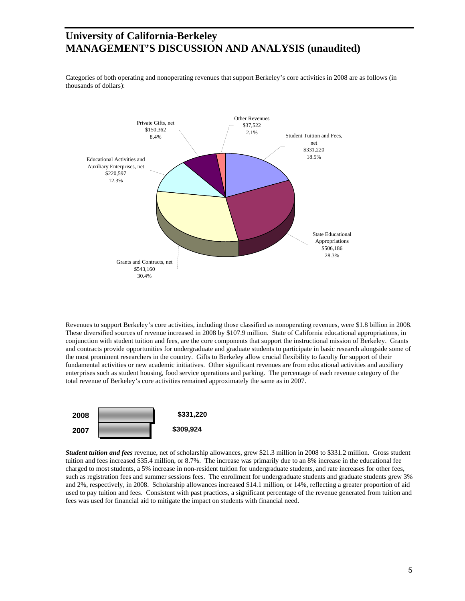Categories of both operating and nonoperating revenues that support Berkeley's core activities in 2008 are as follows (in thousands of dollars):



Revenues to support Berkeley's core activities, including those classified as nonoperating revenues, were \$1.8 billion in 2008. These diversified sources of revenue increased in 2008 by \$107.9 million. State of California educational appropriations, in conjunction with student tuition and fees, are the core components that support the instructional mission of Berkeley. Grants and contracts provide opportunities for undergraduate and graduate students to participate in basic research alongside some of the most prominent researchers in the country. Gifts to Berkeley allow crucial flexibility to faculty for support of their fundamental activities or new academic initiatives. Other significant revenues are from educational activities and auxiliary enterprises such as student housing, food service operations and parking. The percentage of each revenue category of the total revenue of Berkeley's core activities remained approximately the same as in 2007.



*Student tuition and fees* revenue, net of scholarship allowances, grew \$21.3 million in 2008 to \$331.2 million. Gross student tuition and fees increased \$35.4 million, or 8.7%. The increase was primarily due to an 8% increase in the educational fee charged to most students, a 5% increase in non-resident tuition for undergraduate students, and rate increases for other fees, such as registration fees and summer sessions fees. The enrollment for undergraduate students and graduate students grew 3% and 2%, respectively, in 2008. Scholarship allowances increased \$14.1 million, or 14%, reflecting a greater proportion of aid used to pay tuition and fees. Consistent with past practices, a significant percentage of the revenue generated from tuition and fees was used for financial aid to mitigate the impact on students with financial need.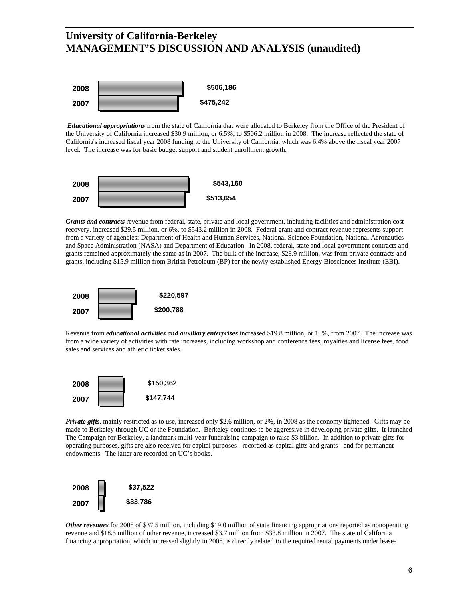

*Educational appropriations* from the state of California that were allocated to Berkeley from the Office of the President of the University of California increased \$30.9 million, or 6.5%, to \$506.2 million in 2008. The increase reflected the state of California's increased fiscal year 2008 funding to the University of California, which was 6.4% above the fiscal year 2007 level. The increase was for basic budget support and student enrollment growth.



*Grants and contracts* revenue from federal, state, private and local government, including facilities and administration cost recovery, increased \$29.5 million, or 6%, to \$543.2 million in 2008. Federal grant and contract revenue represents support from a variety of agencies: Department of Health and Human Services, National Science Foundation, National Aeronautics and Space Administration (NASA) and Department of Education. In 2008, federal, state and local government contracts and grants remained approximately the same as in 2007. The bulk of the increase, \$28.9 million, was from private contracts and grants, including \$15.9 million from British Petroleum (BP) for the newly established Energy Biosciences Institute (EBI).



Revenue from *educational activities and auxiliary enterprises* increased \$19.8 million, or 10%, from 2007. The increase was from a wide variety of activities with rate increases, including workshop and conference fees, royalties and license fees, food sales and services and athletic ticket sales.



*Private gifts*, mainly restricted as to use, increased only \$2.6 million, or 2%, in 2008 as the economy tightened. Gifts may be made to Berkeley through UC or the Foundation. Berkeley continues to be aggressive in developing private gifts. It launched The Campaign for Berkeley, a landmark multi-year fundraising campaign to raise \$3 billion. In addition to private gifts for operating purposes, gifts are also received for capital purposes - recorded as capital gifts and grants - and for permanent endowments. The latter are recorded on UC's books.



*Other revenues* for 2008 of \$37.5 million, including \$19.0 million of state financing appropriations reported as nonoperating revenue and \$18.5 million of other revenue, increased \$3.7 million from \$33.8 million in 2007. The state of California financing appropriation, which increased slightly in 2008, is directly related to the required rental payments under lease-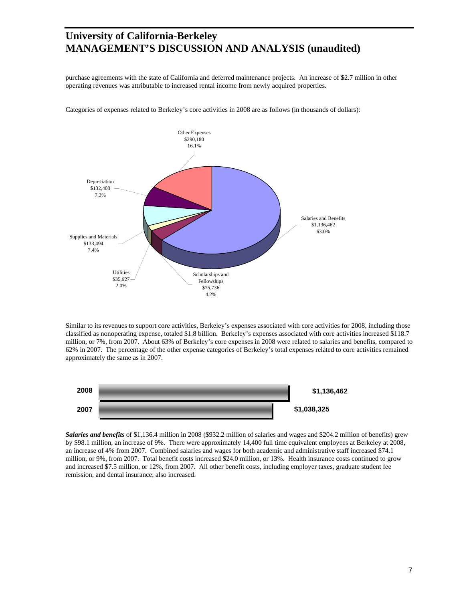purchase agreements with the state of California and deferred maintenance projects. An increase of \$2.7 million in other operating revenues was attributable to increased rental income from newly acquired properties.



Categories of expenses related to Berkeley's core activities in 2008 are as follows (in thousands of dollars):

Similar to its revenues to support core activities, Berkeley's expenses associated with core activities for 2008, including those classified as nonoperating expense, totaled \$1.8 billion. Berkeley's expenses associated with core activities increased \$118.7 million, or 7%, from 2007. About 63% of Berkeley's core expenses in 2008 were related to salaries and benefits, compared to 62% in 2007. The percentage of the other expense categories of Berkeley's total expenses related to core activities remained approximately the same as in 2007.



*Salaries and benefits* of \$1,136.4 million in 2008 (\$932.2 million of salaries and wages and \$204.2 million of benefits) grew by \$98.1 million, an increase of 9%. There were approximately 14,400 full time equivalent employees at Berkeley at 2008, an increase of 4% from 2007. Combined salaries and wages for both academic and administrative staff increased \$74.1 million, or 9%, from 2007. Total benefit costs increased \$24.0 million, or 13%. Health insurance costs continued to grow and increased \$7.5 million, or 12%, from 2007. All other benefit costs, including employer taxes, graduate student fee remission, and dental insurance, also increased.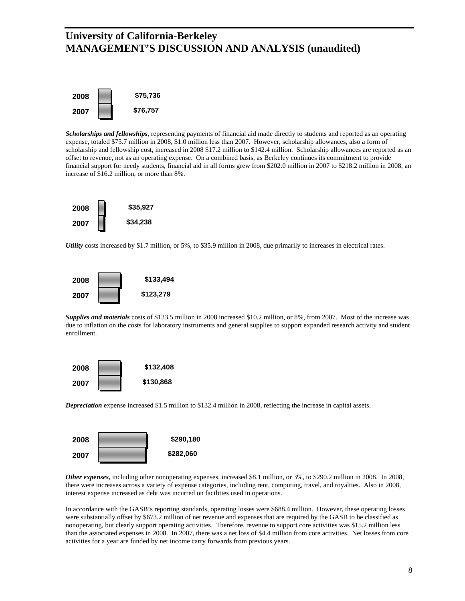

*Scholarships and fellowships*, representing payments of financial aid made directly to students and reported as an operating expense, totaled \$75.7 million in 2008, \$1.0 million less than 2007. However, scholarship allowances, also a form of scholarship and fellowship cost, increased in 2008 \$17.2 million to \$142.4 million. Scholarship allowances are reported as an offset to revenue, not as an operating expense. On a combined basis, as Berkeley continues its commitment to provide financial support for needy students, financial aid in all forms grew from \$202.0 million in 2007 to \$218.2 million in 2008, an increase of \$16.2 million, or more than 8%.



*Utility* costs increased by \$1.7 million, or 5%, to \$35.9 million in 2008, due primarily to increases in electrical rates.



*Supplies and materials* costs of \$133.5 million in 2008 increased \$10.2 million, or 8%, from 2007. Most of the increase was due to inflation on the costs for laboratory instruments and general supplies to support expanded research activity and student enrollment.



*Depreciation* expense increased \$1.5 million to \$132.4 million in 2008, reflecting the increase in capital assets.



*Other expenses,* including other nonoperating expenses, increased \$8.1 million, or 3%, to \$290.2 million in 2008. In 2008, there were increases across a variety of expense categories, including rent, computing, travel, and royalties. Also in 2008, interest expense increased as debt was incurred on facilities used in operations.

In accordance with the GASB's reporting standards, operating losses were \$688.4 million. However, these operating losses were substantially offset by \$673.2 million of net revenue and expenses that are required by the GASB to be classified as nonoperating, but clearly support operating activities. Therefore, revenue to support core activities was \$15.2 million less than the associated expenses in 2008. In 2007, there was a net loss of \$4.4 million from core activities. Net losses from core activities for a year are funded by net income carry forwards from previous years.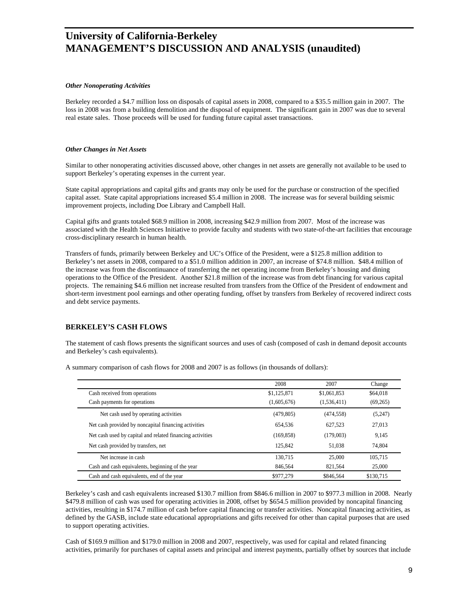#### *Other Nonoperating Activities*

Berkeley recorded a \$4.7 million loss on disposals of capital assets in 2008, compared to a \$35.5 million gain in 2007. The loss in 2008 was from a building demolition and the disposal of equipment. The significant gain in 2007 was due to several real estate sales. Those proceeds will be used for funding future capital asset transactions.

#### *Other Changes in Net Assets*

Similar to other nonoperating activities discussed above, other changes in net assets are generally not available to be used to support Berkeley's operating expenses in the current year.

State capital appropriations and capital gifts and grants may only be used for the purchase or construction of the specified capital asset. State capital appropriations increased \$5.4 million in 2008. The increase was for several building seismic improvement projects, including Doe Library and Campbell Hall.

Capital gifts and grants totaled \$68.9 million in 2008, increasing \$42.9 million from 2007. Most of the increase was associated with the Health Sciences Initiative to provide faculty and students with two state-of-the-art facilities that encourage cross-disciplinary research in human health.

Transfers of funds, primarily between Berkeley and UC's Office of the President, were a \$125.8 million addition to Berkeley's net assets in 2008, compared to a \$51.0 million addition in 2007, an increase of \$74.8 million. \$48.4 million of the increase was from the discontinuance of transferring the net operating income from Berkeley's housing and dining operations to the Office of the President. Another \$21.8 million of the increase was from debt financing for various capital projects. The remaining \$4.6 million net increase resulted from transfers from the Office of the President of endowment and short-term investment pool earnings and other operating funding, offset by transfers from Berkeley of recovered indirect costs and debt service payments.

#### **BERKELEY'S CASH FLOWS**

The statement of cash flows presents the significant sources and uses of cash (composed of cash in demand deposit accounts and Berkeley's cash equivalents).

|                                                           | 2008        | 2007        | Change    |
|-----------------------------------------------------------|-------------|-------------|-----------|
| Cash received from operations                             | \$1,125,871 | \$1,061,853 | \$64,018  |
| Cash payments for operations                              | (1,605,676) | (1,536,411) | (69, 265) |
| Net cash used by operating activities                     | (479, 805)  | (474, 558)  | (5,247)   |
| Net cash provided by noncapital financing activities      | 654.536     | 627.523     | 27,013    |
| Net cash used by capital and related financing activities | (169, 858)  | (179,003)   | 9.145     |
| Net cash provided by transfers, net                       | 125,842     | 51.038      | 74.804    |
| Net increase in cash                                      | 130.715     | 25,000      | 105.715   |
| Cash and cash equivalents, beginning of the year          | 846,564     | 821.564     | 25,000    |
| Cash and cash equivalents, end of the year                | \$977,279   | \$846,564   | \$130,715 |

A summary comparison of cash flows for 2008 and 2007 is as follows (in thousands of dollars):

Berkeley's cash and cash equivalents increased \$130.7 million from \$846.6 million in 2007 to \$977.3 million in 2008. Nearly \$479.8 million of cash was used for operating activities in 2008, offset by \$654.5 million provided by noncapital financing activities, resulting in \$174.7 million of cash before capital financing or transfer activities. Noncapital financing activities, as defined by the GASB, include state educational appropriations and gifts received for other than capital purposes that are used to support operating activities.

Cash of \$169.9 million and \$179.0 million in 2008 and 2007, respectively, was used for capital and related financing activities, primarily for purchases of capital assets and principal and interest payments, partially offset by sources that include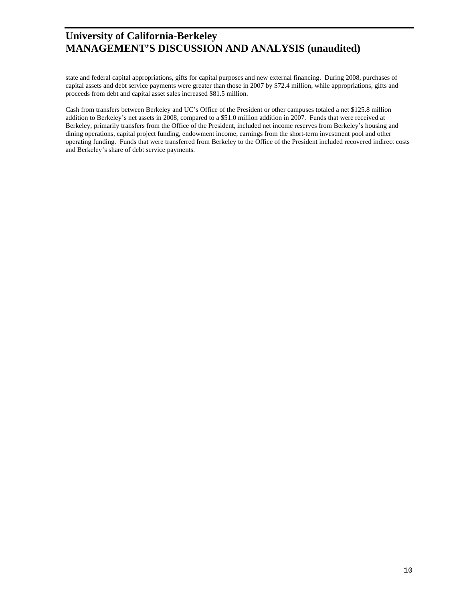state and federal capital appropriations, gifts for capital purposes and new external financing. During 2008, purchases of capital assets and debt service payments were greater than those in 2007 by \$72.4 million, while appropriations, gifts and proceeds from debt and capital asset sales increased \$81.5 million.

Cash from transfers between Berkeley and UC's Office of the President or other campuses totaled a net \$125.8 million addition to Berkeley's net assets in 2008, compared to a \$51.0 million addition in 2007. Funds that were received at Berkeley, primarily transfers from the Office of the President, included net income reserves from Berkeley's housing and dining operations, capital project funding, endowment income, earnings from the short-term investment pool and other operating funding. Funds that were transferred from Berkeley to the Office of the President included recovered indirect costs and Berkeley's share of debt service payments.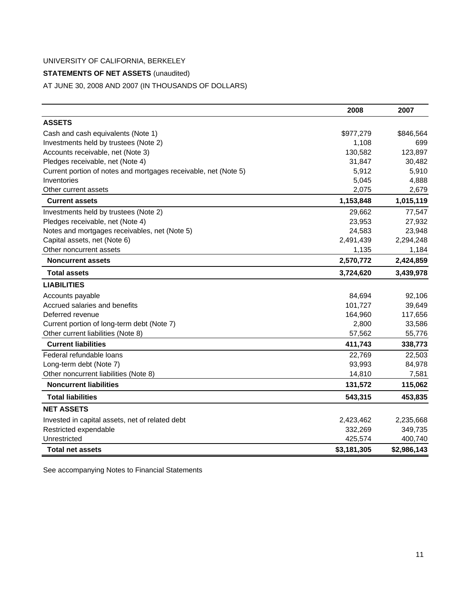## **STATEMENTS OF NET ASSETS** (unaudited)

AT JUNE 30, 2008 AND 2007 (IN THOUSANDS OF DOLLARS)

|                                                                 | 2008        | 2007        |
|-----------------------------------------------------------------|-------------|-------------|
| <b>ASSETS</b>                                                   |             |             |
| Cash and cash equivalents (Note 1)                              | \$977,279   | \$846,564   |
| Investments held by trustees (Note 2)                           | 1,108       | 699         |
| Accounts receivable, net (Note 3)                               | 130,582     | 123,897     |
| Pledges receivable, net (Note 4)                                | 31,847      | 30,482      |
| Current portion of notes and mortgages receivable, net (Note 5) | 5,912       | 5,910       |
| Inventories                                                     | 5,045       | 4,888       |
| Other current assets                                            | 2,075       | 2,679       |
| <b>Current assets</b>                                           | 1,153,848   | 1,015,119   |
| Investments held by trustees (Note 2)                           | 29,662      | 77,547      |
| Pledges receivable, net (Note 4)                                | 23,953      | 27,932      |
| Notes and mortgages receivables, net (Note 5)                   | 24,583      | 23,948      |
| Capital assets, net (Note 6)                                    | 2,491,439   | 2,294,248   |
| Other noncurrent assets                                         | 1,135       | 1,184       |
| <b>Noncurrent assets</b>                                        | 2,570,772   | 2,424,859   |
| <b>Total assets</b>                                             | 3,724,620   | 3,439,978   |
| <b>LIABILITIES</b>                                              |             |             |
| Accounts payable                                                | 84,694      | 92,106      |
| Accrued salaries and benefits                                   | 101,727     | 39,649      |
| Deferred revenue                                                | 164,960     | 117,656     |
| Current portion of long-term debt (Note 7)                      | 2,800       | 33,586      |
| Other current liabilities (Note 8)                              | 57,562      | 55,776      |
| <b>Current liabilities</b>                                      | 411,743     | 338,773     |
| Federal refundable loans                                        | 22,769      | 22,503      |
| Long-term debt (Note 7)                                         | 93,993      | 84,978      |
| Other noncurrent liabilities (Note 8)                           | 14,810      | 7,581       |
| <b>Noncurrent liabilities</b>                                   | 131,572     | 115,062     |
| <b>Total liabilities</b>                                        | 543,315     | 453,835     |
| <b>NET ASSETS</b>                                               |             |             |
| Invested in capital assets, net of related debt                 | 2,423,462   | 2,235,668   |
| Restricted expendable                                           | 332,269     | 349,735     |
| Unrestricted                                                    | 425,574     | 400,740     |
| <b>Total net assets</b>                                         | \$3,181,305 | \$2,986,143 |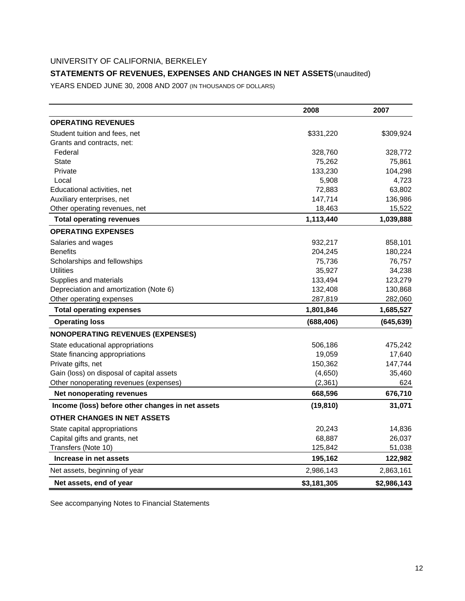## **STATEMENTS OF REVENUES, EXPENSES AND CHANGES IN NET ASSETS** (unaudited)

YEARS ENDED JUNE 30, 2008 AND 2007 (IN THOUSANDS OF DOLLARS)

|                                                  | 2008        | 2007        |
|--------------------------------------------------|-------------|-------------|
| <b>OPERATING REVENUES</b>                        |             |             |
| Student tuition and fees, net                    | \$331,220   | \$309,924   |
| Grants and contracts, net:                       |             |             |
| Federal                                          | 328,760     | 328,772     |
| State                                            | 75,262      | 75,861      |
| Private                                          | 133,230     | 104,298     |
| Local                                            | 5,908       | 4,723       |
| Educational activities, net                      | 72,883      | 63,802      |
| Auxiliary enterprises, net                       | 147,714     | 136,986     |
| Other operating revenues, net                    | 18,463      | 15,522      |
| <b>Total operating revenues</b>                  | 1,113,440   | 1,039,888   |
| <b>OPERATING EXPENSES</b>                        |             |             |
| Salaries and wages                               | 932,217     | 858,101     |
| <b>Benefits</b>                                  | 204,245     | 180,224     |
| Scholarships and fellowships                     | 75,736      | 76,757      |
| <b>Utilities</b>                                 | 35,927      | 34,238      |
| Supplies and materials                           | 133,494     | 123,279     |
| Depreciation and amortization (Note 6)           | 132,408     | 130,868     |
| Other operating expenses                         | 287,819     | 282,060     |
| <b>Total operating expenses</b>                  | 1,801,846   | 1,685,527   |
| <b>Operating loss</b>                            | (688, 406)  | (645, 639)  |
| <b>NONOPERATING REVENUES (EXPENSES)</b>          |             |             |
| State educational appropriations                 | 506,186     | 475,242     |
| State financing appropriations                   | 19,059      | 17,640      |
| Private gifts, net                               | 150,362     | 147,744     |
| Gain (loss) on disposal of capital assets        | (4,650)     | 35,460      |
| Other nonoperating revenues (expenses)           | (2, 361)    | 624         |
| Net nonoperating revenues                        | 668,596     | 676,710     |
| Income (loss) before other changes in net assets | (19, 810)   | 31,071      |
| OTHER CHANGES IN NET ASSETS                      |             |             |
| State capital appropriations                     | 20,243      | 14,836      |
| Capital gifts and grants, net                    | 68,887      | 26,037      |
| Transfers (Note 10)                              | 125,842     | 51,038      |
| Increase in net assets                           | 195,162     | 122,982     |
| Net assets, beginning of year                    | 2,986,143   | 2,863,161   |
| Net assets, end of year                          | \$3,181,305 | \$2,986,143 |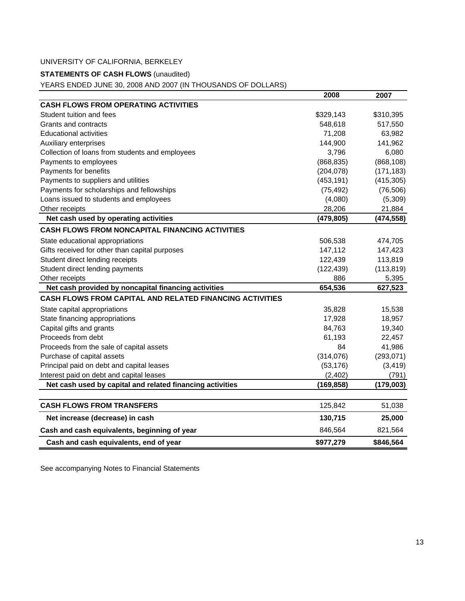## **STATEMENTS OF CASH FLOWS** (unaudited)

YEARS ENDED JUNE 30, 2008 AND 2007 (IN THOUSANDS OF DOLLARS)

|                                                                 | 2008       | 2007       |
|-----------------------------------------------------------------|------------|------------|
| <b>CASH FLOWS FROM OPERATING ACTIVITIES</b>                     |            |            |
| Student tuition and fees                                        | \$329,143  | \$310,395  |
| Grants and contracts                                            | 548,618    | 517,550    |
| <b>Educational activities</b>                                   | 71,208     | 63,982     |
| <b>Auxiliary enterprises</b>                                    | 144,900    | 141,962    |
| Collection of loans from students and employees                 | 3,796      | 6,080      |
| Payments to employees                                           | (868, 835) | (868, 108) |
| Payments for benefits                                           | (204, 078) | (171, 183) |
| Payments to suppliers and utilities                             | (453, 191) | (415, 305) |
| Payments for scholarships and fellowships                       | (75, 492)  | (76, 506)  |
| Loans issued to students and employees                          | (4,080)    | (5,309)    |
| Other receipts                                                  | 28,206     | 21,884     |
| Net cash used by operating activities                           | (479, 805) | (474, 558) |
| <b>CASH FLOWS FROM NONCAPITAL FINANCING ACTIVITIES</b>          |            |            |
| State educational appropriations                                | 506,538    | 474,705    |
| Gifts received for other than capital purposes                  | 147,112    | 147,423    |
| Student direct lending receipts                                 | 122,439    | 113,819    |
| Student direct lending payments                                 | (122, 439) | (113, 819) |
| Other receipts                                                  | 886        | 5,395      |
| Net cash provided by noncapital financing activities            | 654,536    | 627,523    |
| <b>CASH FLOWS FROM CAPITAL AND RELATED FINANCING ACTIVITIES</b> |            |            |
| State capital appropriations                                    | 35,828     | 15,538     |
| State financing appropriations                                  | 17,928     | 18,957     |
| Capital gifts and grants                                        | 84,763     | 19,340     |
| Proceeds from debt                                              | 61,193     | 22,457     |
| Proceeds from the sale of capital assets                        | 84         | 41,986     |
| Purchase of capital assets                                      | (314, 076) | (293, 071) |
| Principal paid on debt and capital leases                       | (53, 176)  | (3, 419)   |
| Interest paid on debt and capital leases                        | (2, 402)   | (791)      |
| Net cash used by capital and related financing activities       | (169, 858) | (179,003)  |
|                                                                 |            |            |
| <b>CASH FLOWS FROM TRANSFERS</b>                                | 125,842    | 51,038     |
| Net increase (decrease) in cash                                 | 130,715    | 25,000     |
| Cash and cash equivalents, beginning of year                    | 846,564    | 821,564    |
| Cash and cash equivalents, end of year                          | \$977,279  | \$846,564  |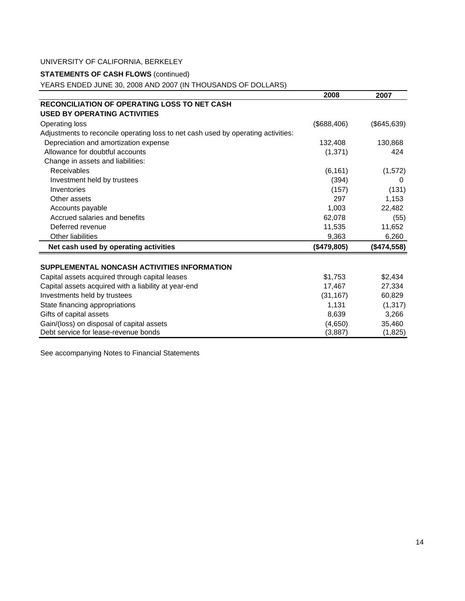## **STATEMENTS OF CASH FLOWS** (continued)

YEARS ENDED JUNE 30, 2008 AND 2007 (IN THOUSANDS OF DOLLARS)

|                                                                                   | 2008        | 2007        |
|-----------------------------------------------------------------------------------|-------------|-------------|
| <b>RECONCILIATION OF OPERATING LOSS TO NET CASH</b>                               |             |             |
| <b>USED BY OPERATING ACTIVITIES</b>                                               |             |             |
| Operating loss                                                                    | (\$688,406) | (\$645,639) |
| Adjustments to reconcile operating loss to net cash used by operating activities: |             |             |
| Depreciation and amortization expense                                             | 132,408     | 130,868     |
| Allowance for doubtful accounts                                                   | (1, 371)    | 424         |
| Change in assets and liabilities:                                                 |             |             |
| Receivables                                                                       | (6, 161)    | (1, 572)    |
| Investment held by trustees                                                       | (394)       | 0           |
| Inventories                                                                       | (157)       | (131)       |
| Other assets                                                                      | 297         | 1,153       |
| Accounts payable                                                                  | 1,003       | 22,482      |
| Accrued salaries and benefits                                                     | 62,078      | (55)        |
| Deferred revenue                                                                  | 11,535      | 11,652      |
| <b>Other liabilities</b>                                                          | 9,363       | 6,260       |
| Net cash used by operating activities                                             | (\$479,805) | (\$474,558) |
| SUPPLEMENTAL NONCASH ACTIVITIES INFORMATION                                       |             |             |
| Capital assets acquired through capital leases                                    | \$1,753     | \$2,434     |
| Capital assets acquired with a liability at year-end                              | 17,467      | 27,334      |
| Investments held by trustees                                                      | (31, 167)   | 60,829      |
| State financing appropriations                                                    | 1,131       | (1, 317)    |
| Gifts of capital assets                                                           | 8,639       | 3,266       |
| Gain/(loss) on disposal of capital assets                                         | (4,650)     | 35,460      |
| Debt service for lease-revenue bonds                                              | (3,887)     | (1,825)     |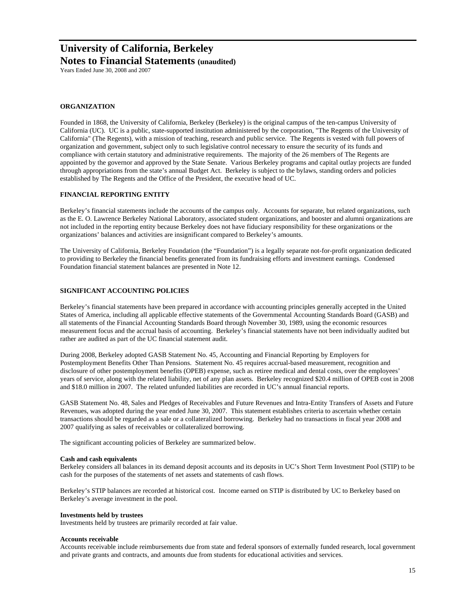**Notes to Financial Statements (unaudited)**

Years Ended June 30, 2008 and 2007

#### **ORGANIZATION**

Founded in 1868, the University of California, Berkeley (Berkeley) is the original campus of the ten-campus University of California (UC). UC is a public, state-supported institution administered by the corporation, "The Regents of the University of California" (The Regents), with a mission of teaching, research and public service. The Regents is vested with full powers of organization and government, subject only to such legislative control necessary to ensure the security of its funds and compliance with certain statutory and administrative requirements. The majority of the 26 members of The Regents are appointed by the governor and approved by the State Senate. Various Berkeley programs and capital outlay projects are funded through appropriations from the state's annual Budget Act. Berkeley is subject to the bylaws, standing orders and policies established by The Regents and the Office of the President, the executive head of UC.

#### **FINANCIAL REPORTING ENTITY**

Berkeley's financial statements include the accounts of the campus only. Accounts for separate, but related organizations, such as the E. O. Lawrence Berkeley National Laboratory, associated student organizations, and booster and alumni organizations are not included in the reporting entity because Berkeley does not have fiduciary responsibility for these organizations or the organizations' balances and activities are insignificant compared to Berkeley's amounts.

The University of California, Berkeley Foundation (the "Foundation") is a legally separate not-for-profit organization dedicated to providing to Berkeley the financial benefits generated from its fundraising efforts and investment earnings. Condensed Foundation financial statement balances are presented in Note 12.

#### **SIGNIFICANT ACCOUNTING POLICIES**

Berkeley's financial statements have been prepared in accordance with accounting principles generally accepted in the United States of America, including all applicable effective statements of the Governmental Accounting Standards Board (GASB) and all statements of the Financial Accounting Standards Board through November 30, 1989, using the economic resources measurement focus and the accrual basis of accounting. Berkeley's financial statements have not been individually audited but rather are audited as part of the UC financial statement audit.

During 2008, Berkeley adopted GASB Statement No. 45, Accounting and Financial Reporting by Employers for Postemployment Benefits Other Than Pensions. Statement No. 45 requires accrual-based measurement, recognition and disclosure of other postemployment benefits (OPEB) expense, such as retiree medical and dental costs, over the employees' years of service, along with the related liability, net of any plan assets. Berkeley recognized \$20.4 million of OPEB cost in 2008 and \$18.0 million in 2007. The related unfunded liabilities are recorded in UC's annual financial reports.

GASB Statement No. 48, Sales and Pledges of Receivables and Future Revenues and Intra-Entity Transfers of Assets and Future Revenues, was adopted during the year ended June 30, 2007. This statement establishes criteria to ascertain whether certain transactions should be regarded as a sale or a collateralized borrowing. Berkeley had no transactions in fiscal year 2008 and 2007 qualifying as sales of receivables or collateralized borrowing.

The significant accounting policies of Berkeley are summarized below.

#### **Cash and cash equivalents**

Berkeley considers all balances in its demand deposit accounts and its deposits in UC's Short Term Investment Pool (STIP) to be cash for the purposes of the statements of net assets and statements of cash flows.

Berkeley's STIP balances are recorded at historical cost. Income earned on STIP is distributed by UC to Berkeley based on Berkeley's average investment in the pool.

#### **Investments held by trustees**

Investments held by trustees are primarily recorded at fair value.

#### **Accounts receivable**

Accounts receivable include reimbursements due from state and federal sponsors of externally funded research, local government and private grants and contracts, and amounts due from students for educational activities and services.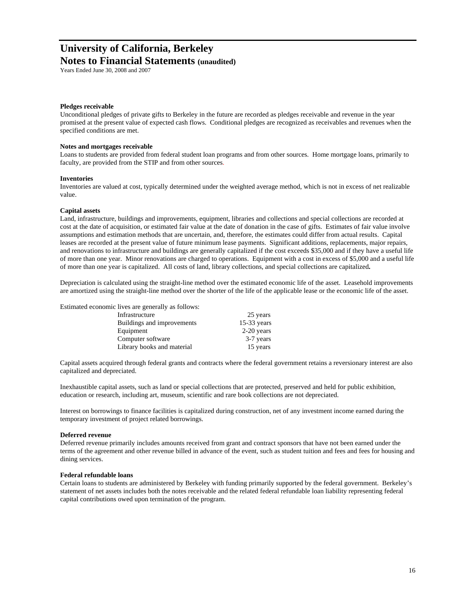### **Notes to Financial Statements (unaudited)**

Years Ended June 30, 2008 and 2007

#### **Pledges receivable**

Unconditional pledges of private gifts to Berkeley in the future are recorded as pledges receivable and revenue in the year promised at the present value of expected cash flows. Conditional pledges are recognized as receivables and revenues when the specified conditions are met.

#### **Notes and mortgages receivable**

Loans to students are provided from federal student loan programs and from other sources. Home mortgage loans, primarily to faculty, are provided from the STIP and from other sources.

#### **Inventories**

Inventories are valued at cost, typically determined under the weighted average method, which is not in excess of net realizable value.

#### **Capital assets**

Land, infrastructure, buildings and improvements, equipment, libraries and collections and special collections are recorded at cost at the date of acquisition, or estimated fair value at the date of donation in the case of gifts. Estimates of fair value involve assumptions and estimation methods that are uncertain, and, therefore, the estimates could differ from actual results. Capital leases are recorded at the present value of future minimum lease payments. Significant additions, replacements, major repairs, and renovations to infrastructure and buildings are generally capitalized if the cost exceeds \$35,000 and if they have a useful life of more than one year. Minor renovations are charged to operations. Equipment with a cost in excess of \$5,000 and a useful life of more than one year is capitalized. All costs of land, library collections, and special collections are capitalized**.** 

Depreciation is calculated using the straight-line method over the estimated economic life of the asset. Leasehold improvements are amortized using the straight-line method over the shorter of the life of the applicable lease or the economic life of the asset.

Estimated economic lives are generally as follows:

| Infrastructure             | 25 years      |
|----------------------------|---------------|
| Buildings and improvements | $15-33$ years |
| Equipment                  | $2-20$ years  |
| Computer software          | 3-7 years     |
| Library books and material | 15 years      |

Capital assets acquired through federal grants and contracts where the federal government retains a reversionary interest are also capitalized and depreciated.

Inexhaustible capital assets, such as land or special collections that are protected, preserved and held for public exhibition, education or research, including art, museum, scientific and rare book collections are not depreciated.

Interest on borrowings to finance facilities is capitalized during construction, net of any investment income earned during the temporary investment of project related borrowings.

#### **Deferred revenue**

Deferred revenue primarily includes amounts received from grant and contract sponsors that have not been earned under the terms of the agreement and other revenue billed in advance of the event, such as student tuition and fees and fees for housing and dining services.

#### **Federal refundable loans**

Certain loans to students are administered by Berkeley with funding primarily supported by the federal government. Berkeley's statement of net assets includes both the notes receivable and the related federal refundable loan liability representing federal capital contributions owed upon termination of the program.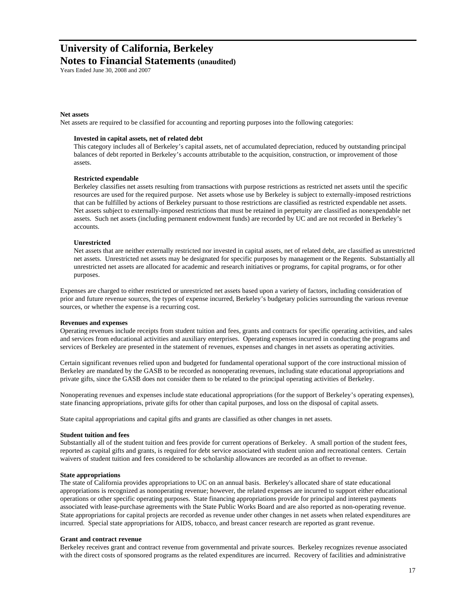### **Notes to Financial Statements (unaudited)**

Years Ended June 30, 2008 and 2007

#### **Net assets**

Net assets are required to be classified for accounting and reporting purposes into the following categories:

#### **Invested in capital assets, net of related debt**

This category includes all of Berkeley's capital assets, net of accumulated depreciation, reduced by outstanding principal balances of debt reported in Berkeley's accounts attributable to the acquisition, construction, or improvement of those assets.

#### **Restricted expendable**

Berkeley classifies net assets resulting from transactions with purpose restrictions as restricted net assets until the specific resources are used for the required purpose. Net assets whose use by Berkeley is subject to externally-imposed restrictions that can be fulfilled by actions of Berkeley pursuant to those restrictions are classified as restricted expendable net assets. Net assets subject to externally-imposed restrictions that must be retained in perpetuity are classified as nonexpendable net assets. Such net assets (including permanent endowment funds) are recorded by UC and are not recorded in Berkeley's accounts.

#### **Unrestricted**

Net assets that are neither externally restricted nor invested in capital assets, net of related debt, are classified as unrestricted net assets. Unrestricted net assets may be designated for specific purposes by management or the Regents. Substantially all unrestricted net assets are allocated for academic and research initiatives or programs, for capital programs, or for other purposes.

Expenses are charged to either restricted or unrestricted net assets based upon a variety of factors, including consideration of prior and future revenue sources, the types of expense incurred, Berkeley's budgetary policies surrounding the various revenue sources, or whether the expense is a recurring cost.

#### **Revenues and expenses**

Operating revenues include receipts from student tuition and fees, grants and contracts for specific operating activities, and sales and services from educational activities and auxiliary enterprises. Operating expenses incurred in conducting the programs and services of Berkeley are presented in the statement of revenues, expenses and changes in net assets as operating activities.

Certain significant revenues relied upon and budgeted for fundamental operational support of the core instructional mission of Berkeley are mandated by the GASB to be recorded as nonoperating revenues, including state educational appropriations and private gifts, since the GASB does not consider them to be related to the principal operating activities of Berkeley.

Nonoperating revenues and expenses include state educational appropriations (for the support of Berkeley's operating expenses), state financing appropriations, private gifts for other than capital purposes, and loss on the disposal of capital assets.

State capital appropriations and capital gifts and grants are classified as other changes in net assets.

#### **Student tuition and fees**

Substantially all of the student tuition and fees provide for current operations of Berkeley. A small portion of the student fees, reported as capital gifts and grants, is required for debt service associated with student union and recreational centers. Certain waivers of student tuition and fees considered to be scholarship allowances are recorded as an offset to revenue.

#### **State appropriations**

The state of California provides appropriations to UC on an annual basis. Berkeley's allocated share of state educational appropriations is recognized as nonoperating revenue; however, the related expenses are incurred to support either educational operations or other specific operating purposes. State financing appropriations provide for principal and interest payments associated with lease-purchase agreements with the State Public Works Board and are also reported as non-operating revenue. State appropriations for capital projects are recorded as revenue under other changes in net assets when related expenditures are incurred. Special state appropriations for AIDS, tobacco, and breast cancer research are reported as grant revenue.

#### **Grant and contract revenue**

Berkeley receives grant and contract revenue from governmental and private sources. Berkeley recognizes revenue associated with the direct costs of sponsored programs as the related expenditures are incurred. Recovery of facilities and administrative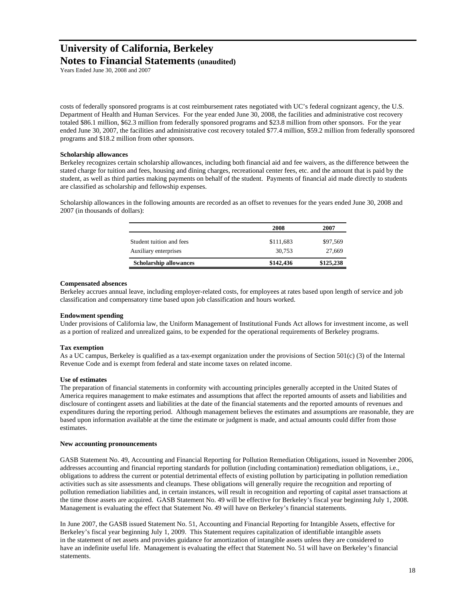Years Ended June 30, 2008 and 2007

costs of federally sponsored programs is at cost reimbursement rates negotiated with UC's federal cognizant agency, the U.S. Department of Health and Human Services. For the year ended June 30, 2008, the facilities and administrative cost recovery totaled \$86.1 million, \$62.3 million from federally sponsored programs and \$23.8 million from other sponsors. For the year ended June 30, 2007, the facilities and administrative cost recovery totaled \$77.4 million, \$59.2 million from federally sponsored programs and \$18.2 million from other sponsors.

#### **Scholarship allowances**

Berkeley recognizes certain scholarship allowances, including both financial aid and fee waivers, as the difference between the stated charge for tuition and fees, housing and dining charges, recreational center fees, etc. and the amount that is paid by the student, as well as third parties making payments on behalf of the student. Payments of financial aid made directly to students are classified as scholarship and fellowship expenses.

Scholarship allowances in the following amounts are recorded as an offset to revenues for the years ended June 30, 2008 and 2007 (in thousands of dollars):

|                               | 2008      | 2007      |
|-------------------------------|-----------|-----------|
| Student tuition and fees      | \$111,683 | \$97,569  |
| Auxiliary enterprises         | 30.753    | 27,669    |
| <b>Scholarship allowances</b> | \$142,436 | \$125,238 |

#### **Compensated absences**

Berkeley accrues annual leave, including employer-related costs, for employees at rates based upon length of service and job classification and compensatory time based upon job classification and hours worked.

#### **Endowment spending**

Under provisions of California law, the Uniform Management of Institutional Funds Act allows for investment income, as well as a portion of realized and unrealized gains, to be expended for the operational requirements of Berkeley programs.

#### **Tax exemption**

As a UC campus, Berkeley is qualified as a tax-exempt organization under the provisions of Section 501(c) (3) of the Internal Revenue Code and is exempt from federal and state income taxes on related income.

#### **Use of estimates**

The preparation of financial statements in conformity with accounting principles generally accepted in the United States of America requires management to make estimates and assumptions that affect the reported amounts of assets and liabilities and disclosure of contingent assets and liabilities at the date of the financial statements and the reported amounts of revenues and expenditures during the reporting period. Although management believes the estimates and assumptions are reasonable, they are based upon information available at the time the estimate or judgment is made, and actual amounts could differ from those estimates.

#### **New accounting pronouncements**

GASB Statement No. 49, Accounting and Financial Reporting for Pollution Remediation Obligations, issued in November 2006, addresses accounting and financial reporting standards for pollution (including contamination) remediation obligations, i.e., obligations to address the current or potential detrimental effects of existing pollution by participating in pollution remediation activities such as site assessments and cleanups. These obligations will generally require the recognition and reporting of pollution remediation liabilities and, in certain instances, will result in recognition and reporting of capital asset transactions at the time those assets are acquired. GASB Statement No. 49 will be effective for Berkeley's fiscal year beginning July 1, 2008. Management is evaluating the effect that Statement No. 49 will have on Berkeley's financial statements.

In June 2007, the GASB issued Statement No. 51, Accounting and Financial Reporting for Intangible Assets, effective for Berkeley's fiscal year beginning July 1, 2009. This Statement requires capitalization of identifiable intangible assets in the statement of net assets and provides guidance for amortization of intangible assets unless they are considered to have an indefinite useful life. Management is evaluating the effect that Statement No. 51 will have on Berkeley's financial statements.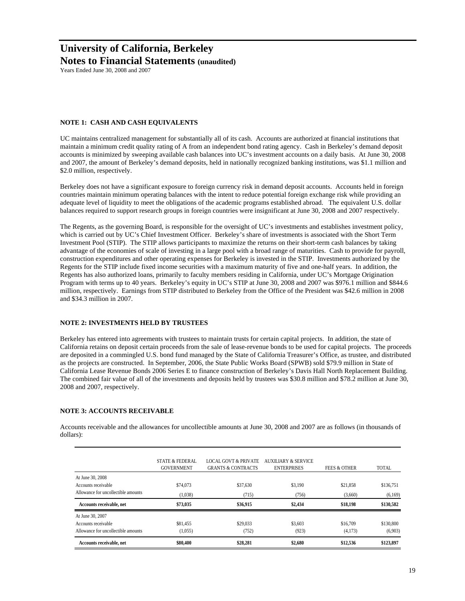**Notes to Financial Statements (unaudited)**

Years Ended June 30, 2008 and 2007

#### **NOTE 1: CASH AND CASH EQUIVALENTS**

UC maintains centralized management for substantially all of its cash. Accounts are authorized at financial institutions that maintain a minimum credit quality rating of A from an independent bond rating agency. Cash in Berkeley's demand deposit accounts is minimized by sweeping available cash balances into UC's investment accounts on a daily basis. At June 30, 2008 and 2007, the amount of Berkeley's demand deposits, held in nationally recognized banking institutions, was \$1.1 million and \$2.0 million, respectively.

Berkeley does not have a significant exposure to foreign currency risk in demand deposit accounts. Accounts held in foreign countries maintain minimum operating balances with the intent to reduce potential foreign exchange risk while providing an adequate level of liquidity to meet the obligations of the academic programs established abroad. The equivalent U.S. dollar balances required to support research groups in foreign countries were insignificant at June 30, 2008 and 2007 respectively.

The Regents, as the governing Board, is responsible for the oversight of UC's investments and establishes investment policy, which is carried out by UC's Chief Investment Officer. Berkeley's share of investments is associated with the Short Term Investment Pool (STIP). The STIP allows participants to maximize the returns on their short-term cash balances by taking advantage of the economies of scale of investing in a large pool with a broad range of maturities. Cash to provide for payroll, construction expenditures and other operating expenses for Berkeley is invested in the STIP. Investments authorized by the Regents for the STIP include fixed income securities with a maximum maturity of five and one-half years. In addition, the Regents has also authorized loans, primarily to faculty members residing in California, under UC's Mortgage Origination Program with terms up to 40 years. Berkeley's equity in UC's STIP at June 30, 2008 and 2007 was \$976.1 million and \$844.6 million, respectively. Earnings from STIP distributed to Berkeley from the Office of the President was \$42.6 million in 2008 and \$34.3 million in 2007.

#### **NOTE 2: INVESTMENTS HELD BY TRUSTEES**

Berkeley has entered into agreements with trustees to maintain trusts for certain capital projects. In addition, the state of California retains on deposit certain proceeds from the sale of lease-revenue bonds to be used for capital projects. The proceeds are deposited in a commingled U.S. bond fund managed by the State of California Treasurer's Office, as trustee, and distributed as the projects are constructed. In September, 2006, the State Public Works Board (SPWB) sold \$79.9 million in State of California Lease Revenue Bonds 2006 Series E to finance construction of Berkeley's Davis Hall North Replacement Building. The combined fair value of all of the investments and deposits held by trustees was \$30.8 million and \$78.2 million at June 30, 2008 and 2007, respectively.

#### **NOTE 3: ACCOUNTS RECEIVABLE**

Accounts receivable and the allowances for uncollectible amounts at June 30, 2008 and 2007 are as follows (in thousands of dollars):

| Allowance for uncollectible amounts     | (1,055)                                         | (752)                                                            | (923)                                                | (4,173)                 | (6,903)   |
|-----------------------------------------|-------------------------------------------------|------------------------------------------------------------------|------------------------------------------------------|-------------------------|-----------|
| At June 30, 2007<br>Accounts receivable | \$81,455                                        | \$29,033                                                         | \$3,603                                              | \$16,709                | \$130,800 |
| Accounts receivable, net                | \$73,035                                        | \$36,915                                                         | \$2,434                                              | \$18,198                | \$130,582 |
| Allowance for uncollectible amounts     | (1,038)                                         | (715)                                                            | (756)                                                | (3,660)                 | (6,169)   |
| Accounts receivable                     | \$74,073                                        | \$37,630                                                         | \$3,190                                              | \$21.858                | \$136,751 |
| At June 30, 2008                        |                                                 |                                                                  |                                                      |                         |           |
|                                         | <b>STATE &amp; FEDERAL</b><br><b>GOVERNMENT</b> | <b>LOCAL GOVT &amp; PRIVATE</b><br><b>GRANTS &amp; CONTRACTS</b> | <b>AUXILIARY &amp; SERVICE</b><br><b>ENTERPRISES</b> | <b>FEES &amp; OTHER</b> | TOTAL     |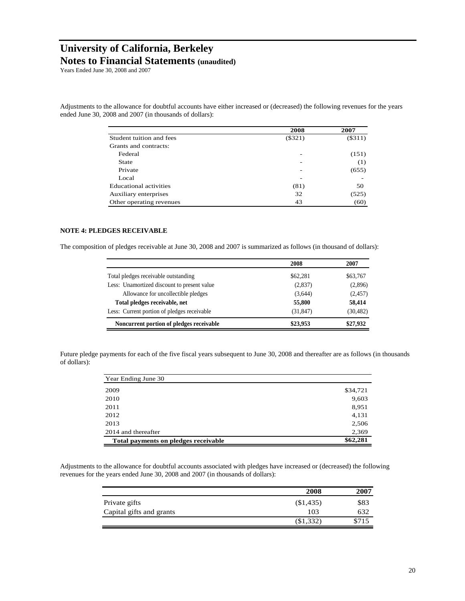**Notes to Financial Statements (unaudited)**

Years Ended June 30, 2008 and 2007

Adjustments to the allowance for doubtful accounts have either increased or (decreased) the following revenues for the years ended June 30, 2008 and 2007 (in thousands of dollars):

|                          | 2008                     | 2007      |
|--------------------------|--------------------------|-----------|
| Student tuition and fees | $(\$321)$                | $(\$311)$ |
| Grants and contracts:    |                          |           |
| Federal                  | -                        | (151)     |
| State                    |                          | (1)       |
| Private                  | $\overline{\phantom{0}}$ | (655)     |
| Local                    |                          |           |
| Educational activities   | (81)                     | 50        |
| Auxiliary enterprises    | 32                       | (525)     |
| Other operating revenues | 43                       | (60)      |

#### **NOTE 4: PLEDGES RECEIVABLE**

The composition of pledges receivable at June 30, 2008 and 2007 is summarized as follows (in thousand of dollars):

|                                             | 2008      | 2007      |
|---------------------------------------------|-----------|-----------|
| Total pledges receivable outstanding        | \$62,281  | \$63,767  |
| Less: Unamortized discount to present value | (2,837)   | (2,896)   |
| Allowance for uncollectible pledges         | (3,644)   | (2, 457)  |
| Total pledges receivable, net               | 55,800    | 58.414    |
| Less: Current portion of pledges receivable | (31, 847) | (30, 482) |
| Noncurrent portion of pledges receivable    | \$23,953  | \$27,932  |

Future pledge payments for each of the five fiscal years subsequent to June 30, 2008 and thereafter are as follows (in thousands of dollars):

| Year Ending June 30                  |          |
|--------------------------------------|----------|
| 2009                                 | \$34,721 |
| 2010                                 | 9,603    |
| 2011                                 | 8,951    |
| 2012                                 | 4,131    |
| 2013                                 | 2,506    |
| 2014 and thereafter                  | 2,369    |
| Total payments on pledges receivable | \$62,281 |

Adjustments to the allowance for doubtful accounts associated with pledges have increased or (decreased) the following revenues for the years ended June 30, 2008 and 2007 (in thousands of dollars):

|                          | 2008      | 2007  |
|--------------------------|-----------|-------|
| Private gifts            | (\$1,435) | \$83  |
| Capital gifts and grants | 103       |       |
|                          | \$1,332   | \$715 |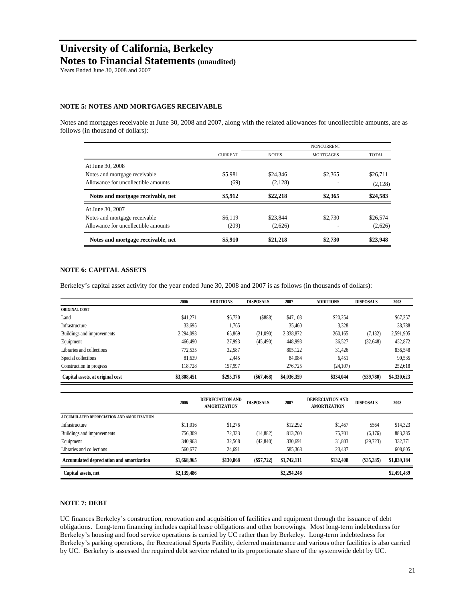Years Ended June 30, 2008 and 2007

#### **NOTE 5: NOTES AND MORTGAGES RECEIVABLE**

Notes and mortgages receivable at June 30, 2008 and 2007, along with the related allowances for uncollectible amounts, are as follows (in thousand of dollars):

|                                     |                |              | <b>NONCURRENT</b> |              |
|-------------------------------------|----------------|--------------|-------------------|--------------|
|                                     | <b>CURRENT</b> | <b>NOTES</b> | <b>MORTGAGES</b>  | <b>TOTAL</b> |
| At June 30, 2008                    |                |              |                   |              |
| Notes and mortgage receivable.      | \$5.981        | \$24,346     | \$2,365           | \$26,711     |
| Allowance for uncollectible amounts | (69)           | (2,128)      |                   | (2,128)      |
| Notes and mortgage receivable, net  | \$5,912        | \$22,218     | \$2,365           | \$24,583     |
| At June 30, 2007                    |                |              |                   |              |
| Notes and mortgage receivable       | \$6.119        | \$23,844     | \$2,730           | \$26,574     |
| Allowance for uncollectible amounts | (209)          | (2,626)      |                   | (2,626)      |
| Notes and mortgage receivable, net  | \$5,910        | \$21,218     | \$2,730           | \$23,948     |

#### **NOTE 6: CAPITAL ASSETS**

Berkeley's capital asset activity for the year ended June 30, 2008 and 2007 is as follows (in thousands of dollars):

|                                  | 2006        | <b>ADDITIONS</b> | <b>DISPOSALS</b> | 2007        | <b>ADDITIONS</b> | <b>DISPOSALS</b> | 2008        |
|----------------------------------|-------------|------------------|------------------|-------------|------------------|------------------|-------------|
| <b>ORIGINAL COST</b>             |             |                  |                  |             |                  |                  |             |
| Land                             | \$41,271    | \$6,720          | \$888            | \$47,103    | \$20,254         |                  | \$67,357    |
| Infrastructure                   | 33,695      | 1,765            |                  | 35.460      | 3,328            |                  | 38,788      |
| Buildings and improvements       | 2,294,093   | 65,869           | (21,090)         | 2,338,872   | 260,165          | (7, 132)         | 2,591,905   |
| Equipment                        | 466,490     | 27.993           | (45, 490)        | 448,993     | 36,527           | (32, 648)        | 452,872     |
| Libraries and collections        | 772,535     | 32.587           |                  | 805,122     | 31.426           |                  | 836,548     |
| Special collections              | 81.639      | 2.445            |                  | 84.084      | 6.451            |                  | 90,535      |
| Construction in progress         | 118.728     | 157.997          |                  | 276,725     | (24, 107)        |                  | 252,618     |
| Capital assets, at original cost | \$3,808,451 | \$295,376        | $(\$67,468)$     | \$4,036,359 | \$334,044        | (\$39,780)       | \$4,330,623 |

|                                           | 2006        | DEPRECIATION AND<br><b>AMORTIZATION</b> | <b>DISPOSALS</b> | 2007        | DEPRECIATION AND<br><b>AMORTIZATION</b> | <b>DISPOSALS</b> | 2008        |
|-------------------------------------------|-------------|-----------------------------------------|------------------|-------------|-----------------------------------------|------------------|-------------|
| ACCUMULATED DEPRECIATION AND AMORTIZATION |             |                                         |                  |             |                                         |                  |             |
| Infrastructure                            | \$11,016    | \$1.276                                 |                  | \$12.292    | \$1,467                                 | \$564            | \$14,323    |
| Buildings and improvements                | 756,309     | 72,333                                  | (14,882)         | 813,760     | 75,701                                  | (6,176)          | 883,285     |
| Equipment                                 | 340,963     | 32,568                                  | (42, 840)        | 330,691     | 31,803                                  | (29, 723)        | 332,771     |
| Libraries and collections                 | 560,677     | 24.691                                  |                  | 585,368     | 23,437                                  |                  | 608,805     |
| Accumulated depreciation and amortization | \$1,668,965 | \$130,868                               | $(\$57,722)$     | \$1,742,111 | \$132,408                               | (\$35,335)       | \$1,839,184 |
| Capital assets, net                       | \$2,139,486 |                                         |                  | \$2,294,248 |                                         |                  | \$2,491,439 |

#### **NOTE 7: DEBT**

UC finances Berkeley's construction, renovation and acquisition of facilities and equipment through the issuance of debt obligations. Long-term financing includes capital lease obligations and other borrowings. Most long-term indebtedness for Berkeley's housing and food service operations is carried by UC rather than by Berkeley. Long-term indebtedness for Berkeley's parking operations, the Recreational Sports Facility, deferred maintenance and various other facilities is also carried by UC. Berkeley is assessed the required debt service related to its proportionate share of the systemwide debt by UC.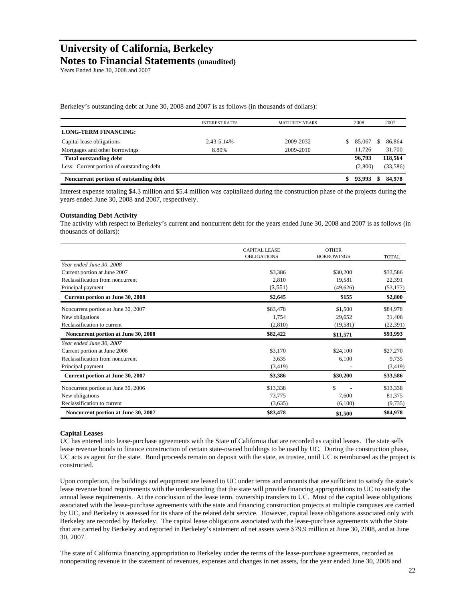## **Notes to Financial Statements (unaudited)**

Years Ended June 30, 2008 and 2007

Berkeley's outstanding debt at June 30, 2008 and 2007 is as follows (in thousands of dollars):

|                                           | <b>INTEREST RATES</b> | <b>MATURITY YEARS</b> | 2008    | 2007        |
|-------------------------------------------|-----------------------|-----------------------|---------|-------------|
| <b>LONG-TERM FINANCING:</b>               |                       |                       |         |             |
| Capital lease obligations                 | 2.43-5.14%            | 2009-2032             | 85,067  | 86,864      |
| Mortgages and other borrowings            | 8.80%                 | 2009-2010             | 11.726  | 31,700      |
| <b>Total outstanding debt</b>             |                       |                       | 96,793  | 118,564     |
| Less: Current portion of outstanding debt |                       |                       | (2,800) | (33,586)    |
| Noncurrent portion of outstanding debt    |                       |                       | 93.993  | 84,978<br>S |

Interest expense totaling \$4.3 million and \$5.4 million was capitalized during the construction phase of the projects during the years ended June 30, 2008 and 2007, respectively.

#### **Outstanding Debt Activity**

The activity with respect to Berkeley's current and noncurrent debt for the years ended June 30, 2008 and 2007 is as follows (in thousands of dollars):

|                                     | <b>CAPITAL LEASE</b><br><b>OBLIGATIONS</b> | <b>OTHER</b><br><b>BORROWINGS</b> | <b>TOTAL</b> |
|-------------------------------------|--------------------------------------------|-----------------------------------|--------------|
| Year ended June 30, 2008            |                                            |                                   |              |
| Current portion at June 2007        | \$3,386                                    | \$30,200                          | \$33,586     |
| Reclassification from noncurrent    | 2,810                                      | 19,581                            | 22,391       |
| Principal payment                   | (3,551)                                    | (49, 626)                         | (53, 177)    |
| Current portion at June 30, 2008    | \$2,645                                    | \$155                             | \$2,800      |
| Noncurrent portion at June 30, 2007 | \$83,478                                   | \$1,500                           | \$84,978     |
| New obligations                     | 1,754                                      | 29,652                            | 31,406       |
| Reclassification to current         | (2,810)                                    | (19, 581)                         | (22, 391)    |
| Noncurrent portion at June 30, 2008 | \$82,422                                   | \$11,571                          | \$93,993     |
| Year ended June 30, 2007            |                                            |                                   |              |
| Current portion at June 2006        | \$3,170                                    | \$24,100                          | \$27,270     |
| Reclassification from noncurrent    | 3,635                                      | 6,100                             | 9,735        |
| Principal payment                   | (3,419)                                    |                                   | (3, 419)     |
| Current portion at June 30, 2007    | \$3,386                                    | \$30,200                          | \$33,586     |
| Noncurrent portion at June 30, 2006 | \$13,338                                   | \$                                | \$13,338     |
| New obligations                     | 73,775                                     | 7,600                             | 81,375       |
| Reclassification to current         | (3,635)                                    | (6,100)                           | (9, 735)     |
| Noncurrent portion at June 30, 2007 | \$83,478                                   | \$1,500                           | \$84,978     |

#### **Capital Leases**

UC has entered into lease-purchase agreements with the State of California that are recorded as capital leases. The state sells lease revenue bonds to finance construction of certain state-owned buildings to be used by UC. During the construction phase, UC acts as agent for the state. Bond proceeds remain on deposit with the state, as trustee, until UC is reimbursed as the project is constructed.

Upon completion, the buildings and equipment are leased to UC under terms and amounts that are sufficient to satisfy the state's lease revenue bond requirements with the understanding that the state will provide financing appropriations to UC to satisfy the annual lease requirements. At the conclusion of the lease term, ownership transfers to UC. Most of the capital lease obligations associated with the lease-purchase agreements with the state and financing construction projects at multiple campuses are carried by UC, and Berkeley is assessed for its share of the related debt service. However, capital lease obligations associated only with Berkeley are recorded by Berkeley. The capital lease obligations associated with the lease-purchase agreements with the State that are carried by Berkeley and reported in Berkeley's statement of net assets were \$79.9 million at June 30, 2008, and at June 30, 2007.

The state of California financing appropriation to Berkeley under the terms of the lease-purchase agreements, recorded as nonoperating revenue in the statement of revenues, expenses and changes in net assets, for the year ended June 30, 2008 and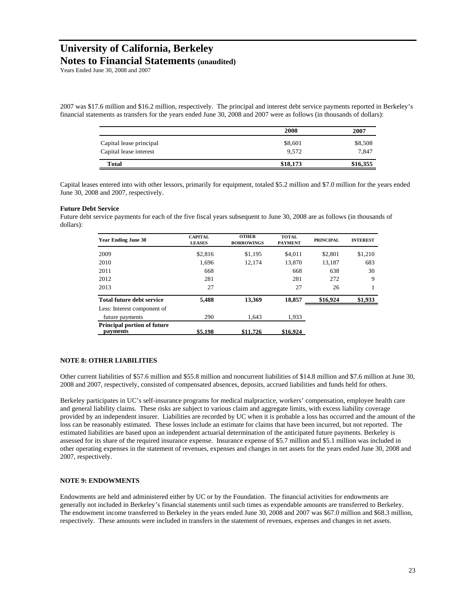**Notes to Financial Statements (unaudited)**

Years Ended June 30, 2008 and 2007

2007 was \$17.6 million and \$16.2 million, respectively. The principal and interest debt service payments reported in Berkeley's financial statements as transfers for the years ended June 30, 2008 and 2007 were as follows (in thousands of dollars):

|                         | 2008     | 2007     |
|-------------------------|----------|----------|
| Capital lease principal | \$8,601  | \$8,508  |
| Capital lease interest  | 9.572    | 7.847    |
| <b>Total</b>            | \$18,173 | \$16,355 |

Capital leases entered into with other lessors, primarily for equipment, totaled \$5.2 million and \$7.0 million for the years ended June 30, 2008 and 2007, respectively.

#### **Future Debt Service**

Future debt service payments for each of the five fiscal years subsequent to June 30, 2008 are as follows (in thousands of dollars):

| <b>Year Ending June 30</b>                     | <b>CAPITAL</b><br><b>LEASES</b> | <b>OTHER</b><br><b>BORROWINGS</b> | <b>TOTAL</b><br><b>PAYMENT</b> | <b>PRINCIPAL</b> | <b>INTEREST</b> |
|------------------------------------------------|---------------------------------|-----------------------------------|--------------------------------|------------------|-----------------|
| 2009                                           | \$2,816                         | \$1,195                           | \$4,011                        | \$2.801          | \$1,210         |
| 2010                                           | 1.696                           | 12.174                            | 13,870                         | 13,187           | 683             |
| 2011                                           | 668                             |                                   | 668                            | 638              | 30              |
| 2012                                           | 281                             |                                   | 281                            | 272              | 9               |
| 2013                                           | 27                              |                                   | 27                             | 26               |                 |
| <b>Total future debt service</b>               | 5.488                           | 13.369                            | 18,857                         | \$16,924         | \$1,933         |
| Less: Interest component of                    |                                 |                                   |                                |                  |                 |
| future payments                                | 290                             | 1.643                             | 1,933                          |                  |                 |
| <b>Principal portion of future</b><br>payments | \$5,198                         | \$11,726                          | \$16,924                       |                  |                 |

#### **NOTE 8: OTHER LIABILITIES**

Other current liabilities of \$57.6 million and \$55.8 million and noncurrent liabilities of \$14.8 million and \$7.6 million at June 30, 2008 and 2007, respectively, consisted of compensated absences, deposits, accrued liabilities and funds held for others.

Berkeley participates in UC's self-insurance programs for medical malpractice, workers' compensation, employee health care and general liability claims. These risks are subject to various claim and aggregate limits, with excess liability coverage provided by an independent insurer. Liabilities are recorded by UC when it is probable a loss has occurred and the amount of the loss can be reasonably estimated. These losses include an estimate for claims that have been incurred, but not reported. The estimated liabilities are based upon an independent actuarial determination of the anticipated future payments. Berkeley is assessed for its share of the required insurance expense. Insurance expense of \$5.7 million and \$5.1 million was included in other operating expenses in the statement of revenues, expenses and changes in net assets for the years ended June 30, 2008 and 2007, respectively.

#### **NOTE 9: ENDOWMENTS**

Endowments are held and administered either by UC or by the Foundation. The financial activities for endowments are generally not included in Berkeley's financial statements until such times as expendable amounts are transferred to Berkeley. The endowment income transferred to Berkeley in the years ended June 30, 2008 and 2007 was \$67.0 million and \$68.3 million, respectively. These amounts were included in transfers in the statement of revenues, expenses and changes in net assets.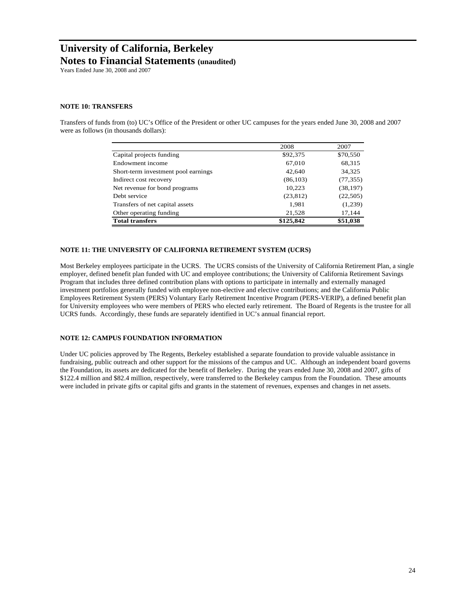Years Ended June 30, 2008 and 2007

#### **NOTE 10: TRANSFERS**

Transfers of funds from (to) UC's Office of the President or other UC campuses for the years ended June 30, 2008 and 2007 were as follows (in thousands dollars):

|                                     | 2008      | 2007      |
|-------------------------------------|-----------|-----------|
| Capital projects funding            | \$92,375  | \$70,550  |
| Endowment income                    | 67,010    | 68,315    |
| Short-term investment pool earnings | 42,640    | 34,325    |
| Indirect cost recovery              | (86, 103) | (77, 355) |
| Net revenue for bond programs       | 10,223    | (38, 197) |
| Debt service                        | (23, 812) | (22, 505) |
| Transfers of net capital assets     | 1,981     | (1,239)   |
| Other operating funding             | 21,528    | 17,144    |
| <b>Total transfers</b>              | \$125,842 | \$51,038  |

#### **NOTE 11: THE UNIVERSITY OF CALIFORNIA RETIREMENT SYSTEM (UCRS)**

Most Berkeley employees participate in the UCRS. The UCRS consists of the University of California Retirement Plan, a single employer, defined benefit plan funded with UC and employee contributions; the University of California Retirement Savings Program that includes three defined contribution plans with options to participate in internally and externally managed investment portfolios generally funded with employee non-elective and elective contributions; and the California Public Employees Retirement System (PERS) Voluntary Early Retirement Incentive Program (PERS-VERIP), a defined benefit plan for University employees who were members of PERS who elected early retirement. The Board of Regents is the trustee for all UCRS funds. Accordingly, these funds are separately identified in UC's annual financial report.

#### **NOTE 12: CAMPUS FOUNDATION INFORMATION**

Under UC policies approved by The Regents, Berkeley established a separate foundation to provide valuable assistance in fundraising, public outreach and other support for the missions of the campus and UC. Although an independent board governs the Foundation, its assets are dedicated for the benefit of Berkeley. During the years ended June 30, 2008 and 2007, gifts of \$122.4 million and \$82.4 million, respectively, were transferred to the Berkeley campus from the Foundation. These amounts were included in private gifts or capital gifts and grants in the statement of revenues, expenses and changes in net assets.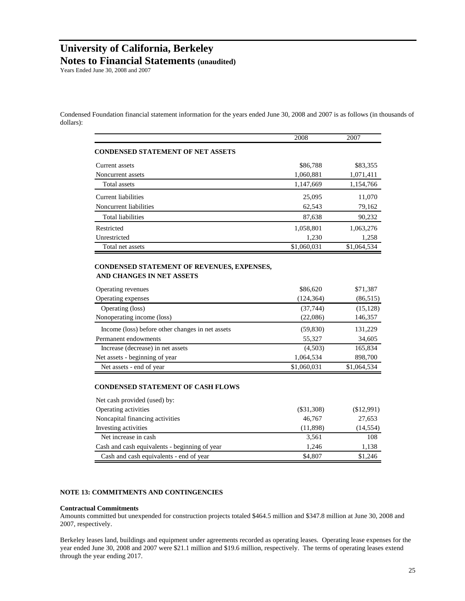Years Ended June 30, 2008 and 2007

Condensed Foundation financial statement information for the years ended June 30, 2008 and 2007 is as follows (in thousands of dollars):

|                                                                                               | 2008         | 2007        |
|-----------------------------------------------------------------------------------------------|--------------|-------------|
| <b>CONDENSED STATEMENT OF NET ASSETS</b>                                                      |              |             |
| Current assets                                                                                | \$86,788     | \$83,355    |
| Noncurrent assets                                                                             | 1,060,881    | 1,071,411   |
| Total assets                                                                                  | 1,147,669    | 1,154,766   |
| <b>Current liabilities</b>                                                                    | 25,095       | 11,070      |
| Noncurrent liabilities                                                                        | 62,543       | 79,162      |
| <b>Total liabilities</b>                                                                      | 87,638       | 90,232      |
| Restricted                                                                                    | 1,058,801    | 1,063,276   |
| Unrestricted                                                                                  | 1,230        | 1,258       |
| Total net assets                                                                              | \$1,060,031  | \$1,064,534 |
| CONDENSED STATEMENT OF REVENUES, EXPENSES,<br>AND CHANGES IN NET ASSETS<br>Operating revenues | \$86,620     | \$71,387    |
| Operating expenses                                                                            | (124, 364)   | (86, 515)   |
| Operating (loss)                                                                              | (37, 744)    | (15, 128)   |
| Nonoperating income (loss)                                                                    | (22,086)     | 146,357     |
| Income (loss) before other changes in net assets                                              | (59, 830)    | 131,229     |
| Permanent endowments                                                                          | 55,327       | 34,605      |
| Increase (decrease) in net assets                                                             | (4,503)      | 165,834     |
| Net assets - beginning of year                                                                | 1,064,534    | 898,700     |
| Net assets - end of year                                                                      | \$1,060,031  | \$1,064,534 |
| <b>CONDENSED STATEMENT OF CASH FLOWS</b>                                                      |              |             |
| Net cash provided (used) by:                                                                  |              |             |
| Operating activities                                                                          | $(\$31,308)$ | (\$12,991)  |
| Noncapital financing activities                                                               | 46,767       | 27,653      |

| Operating activities                          | (S31,308) | $(\$12,991)$ |
|-----------------------------------------------|-----------|--------------|
| Noncapital financing activities               | 46,767    | 27,653       |
| Investing activities                          | (11,898)  | (14, 554)    |
| Net increase in cash                          | 3.561     | 108          |
| Cash and cash equivalents - beginning of year | 1.246     | 1.138        |
| Cash and cash equivalents - end of year       | \$4,807   | \$1,246      |

#### **NOTE 13: COMMITMENTS AND CONTINGENCIES**

#### **Contractual Commitments**

Amounts committed but unexpended for construction projects totaled \$464.5 million and \$347.8 million at June 30, 2008 and 2007, respectively.

Berkeley leases land, buildings and equipment under agreements recorded as operating leases. Operating lease expenses for the year ended June 30, 2008 and 2007 were \$21.1 million and \$19.6 million, respectively. The terms of operating leases extend through the year ending 2017.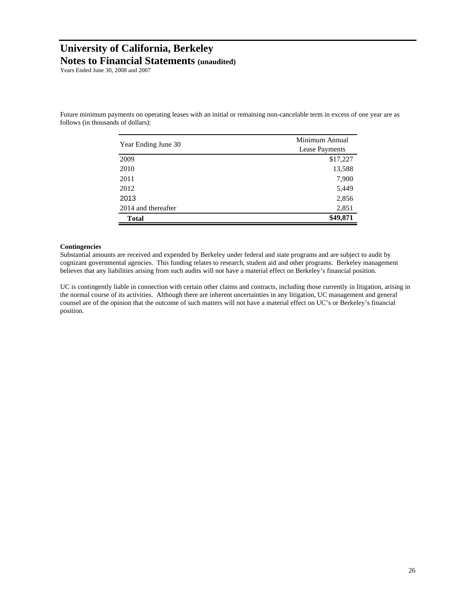Years Ended June 30, 2008 and 2007

Future minimum payments on operating leases with an initial or remaining non-cancelable term in excess of one year are as follows (in thousands of dollars):

|                     | Minimum Annual |  |  |
|---------------------|----------------|--|--|
| Year Ending June 30 | Lease Payments |  |  |
| 2009                | \$17,227       |  |  |
| 2010                | 13,588         |  |  |
| 2011                | 7,900          |  |  |
| 2012                | 5,449          |  |  |
| 2013                | 2,856          |  |  |
| 2014 and thereafter | 2,851          |  |  |
| <b>Total</b>        | \$49,871       |  |  |

#### **Contingencies**

Substantial amounts are received and expended by Berkeley under federal and state programs and are subject to audit by cognizant governmental agencies. This funding relates to research, student aid and other programs. Berkeley management believes that any liabilities arising from such audits will not have a material effect on Berkeley's financial position.

UC is contingently liable in connection with certain other claims and contracts, including those currently in litigation, arising in the normal course of its activities. Although there are inherent uncertainties in any litigation, UC management and general counsel are of the opinion that the outcome of such matters will not have a material effect on UC's or Berkeley's financial position.